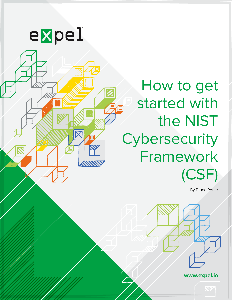

10



By Bruce Potter



**www.expel.io**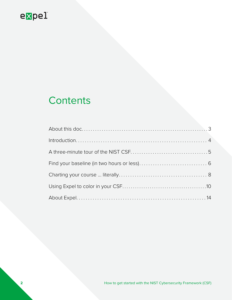# **Contents**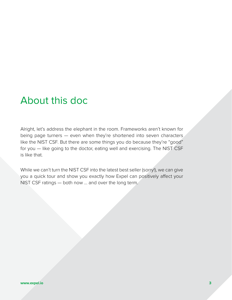# <span id="page-2-0"></span>About this doc

Alright, let's address the elephant in the room. Frameworks aren't known for being page turners — even when they're shortened into seven characters like the NIST CSF. But there are some things you do because they're "good" for you — like going to the doctor, eating well and exercising. The NIST CSF is like that.

While we can't turn the NIST CSF into the latest best seller (sorry!), we can give you a quick tour and show you exactly how Expel can positively affect your NIST CSF ratings — both now ... and over the long term.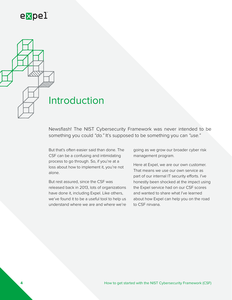<span id="page-3-0"></span>

Newsflash! The [NIST Cybersecurity Framework](https://www.nist.gov/sites/default/files/documents/2017/12/05/draft-2_framework-v1-1_without-markup.pdf) was never intended to be something you could *"do."* It's supposed to be something you can *"use."*

But that's often easier said than done. The CSF can be a confusing and intimidating process to go through. So, if you're at a loss about how to implement it, you're not alone.

But rest assured, since the CSF was released back in 2013, lots of organizations have done it, including Expel. Like others, we've found it to be a useful tool to help us understand where we are and where we're

going as we grow our broader cyber risk management program.

Here at Expel, we are our own customer. That means we use our own service as part of our internal IT security efforts. I've honestly been shocked at the impact using the Expel service had on our CSF scores and wanted to share what I've learned about how Expel can help you on the road to CSF nirvana.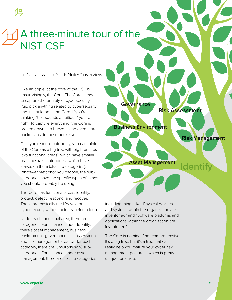# <span id="page-4-0"></span>A three-minute tour of the NIST CSF

Let's start with a "CliffsNotes" overview.

Like an apple, at the core of the CSF is, unsurprisingly, the Core. The Core is meant to capture the entirety of cybersecurity. Yup, pick anything related to cybersecurity and it should be in the Core. If you're thinking "that sounds ambitious" you're right. To capture everything, the Core is broken down into buckets (and even more buckets inside those buckets).

Or, if you're more outdoorsy, you can think of the Core as a big tree with big branches (aka functional areas), which have smaller branches (aka categories), which have leaves on them (aka sub-categories). Whatever metaphor you choose, the subcategories have the specific types of things you should probably be doing.

The Core has functional areas: identify, protect, detect, respond, and recover. These are basically the lifecycle of cybersecurity without actually being a loop.

Under each functional area, there are categories. For instance, under Identify, there's asset management, business environment, governance, risk assessment, and risk management area. Under each category, there are (unsurprisingly) subcategories. For instance, under asset management, there are six sub-categories

**Asset Management Business Environment Governance overnance Risk Assessment Risk Management Identify**

including things like "Physical devices and systems within the organization are inventoried" and "Software platforms and applications within the organization are inventoried."

The Core is nothing if not comprehensive. It's a big tree, but it's a tree that can really help you mature your cyber risk management posture … which is pretty unique for a tree.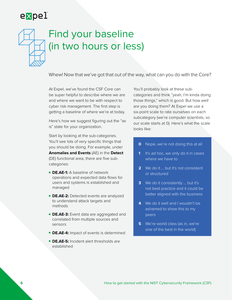# <span id="page-5-0"></span>Find your baseline (in two hours or less)

Whew! Now that we've got that out of the way, what can you do with the Core?

At Expel, we've found the CSF Core can be super helpful to describe where we are and where we want to be with respect to cyber risk management. The first step is getting a baseline of where we're at today.

Here's how we suggest figuring out the "as is" state for your organization.

Start by looking at the sub-categories. You'll see lots of very specific things that you should be doing. For example, under **Anomalies and Events** (AE) in the **Detect** (DE) functional area, there are five subcategories:

- **DE.AE-1:** A baseline of network operations and expected data flows for users and systems is established and managed
- **DE.AE-2:** Detected events are analyzed to understand attack targets and methods
- **DE.AE-3:** Event data are aggregated and correlated from multiple sources and sensors
- **DE.AE-4:** Impact of events is determined
- **DE.AE-5:** Incident alert thresholds are established

You'll probably look at these subcategories and think "yeah, I'm kinda doing those things," which is good. But how *well* are you doing them? At Expel we use a six-point scale to rate ourselves on each subcategory (we're computer scientists, so our scale starts at 0). Here's what the scale looks like:

- **0** Nope, we're not doing this at all
- **1** It's ad hoc, we only do it in cases where we have to
- **2** We do it ... but it's not consistent or structured
- **3** We do it consistently ... but it's not best practice and it could be better aligned with the business
- **4** We do it well and I wouldn't be ashamed to show this to my peers
- **5** We're world class (as in, we're one of the best in the world)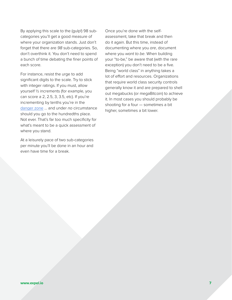By applying this scale to the (gulp!) 98 subcategories you'll get a good measure of where your organization stands. Just don't forget that there are *98* sub-categories. So, don't overthink it. You don't need to spend a bunch of time debating the finer points of each score.

For instance, resist the urge to add significant digits to the scale. Try to stick with integer ratings. If you must, allow yourself ½ increments (for example, you can score a 2, 2.5, 3, 3.5, etc). If you're incrementing by tenths you're in the [danger zone](https://www.youtube.com/watch?v=OWwOJlOI1nU) … and under *no* circumstance should you go to the hundredths place. Not ever. That's far too much specificity for what's meant to be a quick assessment of where you stand.

At a leisurely pace of two sub-categories per minute you'll be done in an hour and even have time for a break.

Once you're done with the selfassessment, take that break and then do it again. But this time, instead of documenting where you *are*, document where you *want to be*. When building your "to-be," be aware that (with the rare exception) you don't need to be a five. Being "world class" in anything takes a lot of effort and resources. Organizations that require world class security controls generally know it and are prepared to shell out megabucks (or megaBitcoin) to achieve it. In most cases you should probably be shooting for a four — sometimes a bit higher, sometimes a bit lower.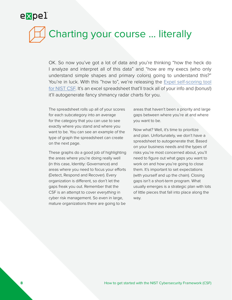# Charting your course ... literally

OK. So now you've got a lot of data and you're thinking "how the heck do I analyze and interpret all of this data" and "how are my execs (who only understand simple shapes and primary colors) going to understand this?" You're in luck. With this "how to", we're releasing the [Expel self-scoring tool](http://info.expel.io/expel-self-scoring-tool-for-nist-csf) [for NIST CSF](http://info.expel.io/expel-self-scoring-tool-for-nist-csf). It's an excel spreadsheet that'll track all of your info and (bonus!) it'll autogenerate fancy shmancy radar charts for you.

The spreadsheet rolls up all of your scores for each subcategory into an average for the category that you can use to see exactly where you stand and where you want to be. You can see an example of the type of graph the spreadsheet can create on the next page.

These graphs do a good job of highlighting the areas where you're doing really well (in this case, Identity: Governance) and areas where you need to focus your efforts (Detect, Respond and Recover). Every organization is different, so don't let the gaps freak you out. Remember that the CSF is an attempt to cover *everything* in cyber risk management. So even in large, mature organizations there are going to be

areas that haven't been a priority and large gaps between where you're at and where you want to be.

Now what? Well, it's time to prioritize and plan. Unfortunately, we don't have a spreadsheet to autogenerate that. Based on your business needs and the types of risks you're most concerned about, you'll need to figure out what gaps you want to work on and how you're going to close them. It's important to set expectations (with yourself and up the chain). Closing gaps isn't a short-term program. What usually emerges is a strategic plan with lots of little pieces that fall into place along the way.

<span id="page-7-0"></span>expel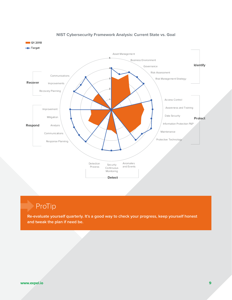

#### **NIST Cybersecurity Framework Analysis: Current State vs. Goal**

## ProTip

**Re-evaluate yourself quarterly. It's a good way to check your progress, keep yourself honest and tweak the plan if need be.**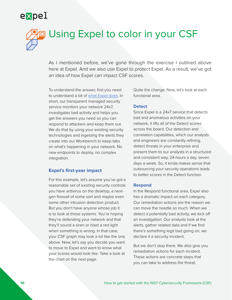<span id="page-9-0"></span>

As I mentioned before, we've gone through the exercise I outlined above here at Expel. And we also *use* Expel to *protect* Expel. As a result, we've got an idea of how Expel can impact CSF scores.

To understand the answer, first you need to understand a bit of [what Expel does](https://expel.io/managed-security/). In short, our transparent managed security service monitors your network 24x7, investigates bad activity and helps you get the answers you need so you can respond to attackers and keep them out. We do that by using your existing security technologies and ingesting the alerts they create into our Workbench to keep tabs on what's happening in your network. No new endpoints to deploy, no complex integration.

#### **Expel's first-year impact**

For this example, let's assume you've got a reasonable set of existing security controls: you have antivirus on the desktop, a nextgen firewall of some sort and maybe even some other intrusion detection product. But you don't have anyone whose job it is to look at those systems. You're hoping they're defending your network and that they'll sound a siren or blast a red light when something is wrong. In that case, your CSF graph may look a lot like the one above. Now, let's say you decide you want to move to Expel and want to know what your scores would look like. Take a look at the chart on the next page.

Quite the change. Now, let's look at each functional area.

#### **Detect**

Since Expel is a 24x7 service that detects bad and anomalous activities on your network, it lifts all of the Detect scores across the board. Our detection and correlation capabilities, which our analysts and engineers are constantly refining, detect threats in your enterprise and present them to our analysts in a structured and consistent way, 24-hours a day, seven days a week. So, it kinda makes sense that outsourcing your security operations leads to better scores in the Detect function.

#### **Respond**

In the Respond functional area, Expel also has a dramatic impact on each category. Our remediation actions are the reason we can move the needle so much. When we detect a potentially bad activity, we kick off an investigation. Our analysts look at the alerts, gather related data and if we find there's something legit bad going on, we declare it a security incident.

But we don't stop there. We also give you remediation actions for each incident. These actions are concrete steps that you can take to address the threat,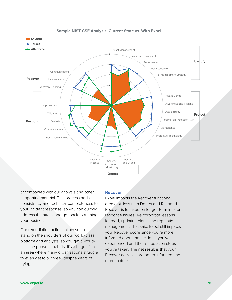

#### **Sample NIST CSF Analysis: Current State vs. With Expel**

accompanied with our analysis and other supporting material. This process adds consistency and technical completeness to your incident response, so you can quickly address the attack and get back to running your business.

Our remediation actions allow you to stand on the shoulders of our world-class platform and analysts, so you get a worldclass response capability. It's a huge lift in an area where many organizations struggle to even get to a "three" despite years of trying.

#### **Recover**

Expel impacts the Recover functional area a bit less than Detect and Respond. Recover is focused on longer-term incident response issues like corporate lessons learned, updating plans, and reputation management. That said, Expel still impacts your Recover score since you're more informed about the incidents you've experienced and the remediation steps you've taken. The net result is that your Recover activities are better informed and more mature.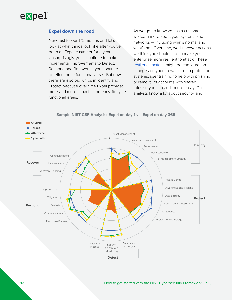

#### **Expel down the road**

Now, fast forward 12 months and let's look at what things look like after you've been an Expel customer for a year. Unsurprisingly, you'll continue to make incremental improvements to Detect, Respond and Recover as you continue to refine those functional areas. But now there are also big jumps in Identify and Protect because over time Expel provides more and more impact in the early lifecycle functional areas.

As we get to know you as a customer, we learn more about your systems and networks — including what's normal and what's not. Over time, we'll uncover actions we think you should take to make your enterprise more resilient to attack. These [resilience actions](https://expel.io/blog/how-to-use-resilience/) might be configuration changes on your firewall or data protection systems, user training to help with phishing or removal of accounts with shared roles so you can audit more easily. Our analysts know a lot about security, and



#### **Sample NIST CSF Analysis: Expel on day 1 vs. Expel on day 365**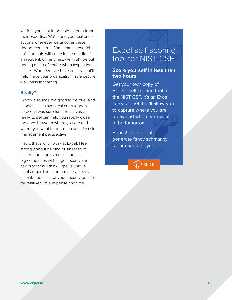we feel you should be able to learn from their expertise. We'll send you resilience actions whenever we uncover these deeper concerns. Sometimes these "ahha" moments will come in the middle of an incident. Other times, we might be out getting a cup of coffee when inspiration strikes. Whenever we have an idea that'll help make your organization more secure, we'll pass that along.

#### **Really?**

I know it sounds too good to be true. And I confess I'm a skeptical curmudgeon so even I was surprised. But ... yes ... really, Expel can help you rapidly close the gaps between where you are and where you want to be from a security risk management perspective.

Heck, that's why I work at Expel. I feel strongly about helping businesses of all sizes be more secure — not just big companies with huge security and risk programs. I think Expel is unique in this regard and can provide a nearly instantaneous lift for your security posture for relatively little expense and time.

## Expel self-scoring tool for NIST CSF

#### **Score yourself in less than two hours**

Get your own copy of Expel's self-scoring tool for the NIST CSF. It's an Excel spreadsheet that'll allow you to capture where you are today and where you want to be tomorrow.

Bonus! It'll also autogenerate fancy schmancy radar charts for you.

**[Get it!](http://info.expel.io/expel-self-scoring-tool-for-nist-csf)**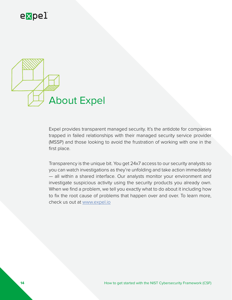<span id="page-13-0"></span>

Expel provides transparent managed security. It's the antidote for companies trapped in failed relationships with their managed security service provider (MSSP) and those looking to avoid the frustration of working with one in the first place.

Transparency is the unique bit. You get 24x7 access to our security analysts so you can watch investigations as they're unfolding and take action immediately — all within a shared interface. Our analysts monitor your environment and investigate suspicious activity using the security products you already own. When we find a problem, we tell you exactly what to do about it including how to fix the root cause of problems that happen over and over. To learn more, check us out at [www.expel.io](http://www.expel.io)